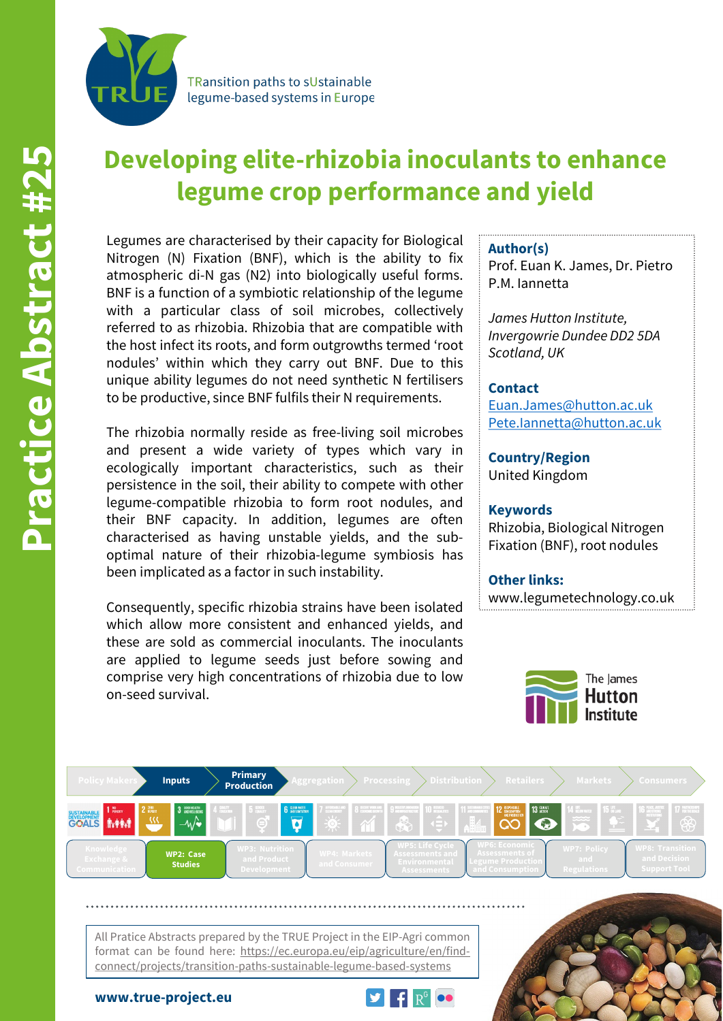

**TRansition paths to sUstainable** legume-based systems in Europe

# **Developing elite-rhizobia inoculants to enhance legume crop performance and yield**

Legumes are characterised by their capacity for Biological Nitrogen (N) Fixation (BNF), which is the ability to fix atmospheric di-N gas (N2) into biologically useful forms. BNF is a function of a symbiotic relationship of the legume with a particular class of soil microbes, collectively referred to as rhizobia. Rhizobia that are compatible with the host infect its roots, and form outgrowths termed 'root nodules' within which they carry out BNF. Due to this unique ability legumes do not need synthetic N fertilisers to be productive, since BNF fulfils their N requirements.

The rhizobia normally reside as free-living soil microbes and present a wide variety of types which vary in ecologically important characteristics, such as their persistence in the soil, their ability to compete with other legume-compatible rhizobia to form root nodules, and their BNF capacity. In addition, legumes are often characterised as having unstable yields, and the suboptimal nature of their rhizobia-legume symbiosis has been implicated as a factor in such instability.

Consequently, specific rhizobia strains have been isolated which allow more consistent and enhanced yields, and these are sold as commercial inoculants. The inoculants are applied to legume seeds just before sowing and comprise very high concentrations of rhizobia due to low on-seed survival.

#### **Author(s)**

Prof. Euan K. James, Dr. Pietro P.M. Iannetta

*James Hutton Institute, Invergowrie Dundee DD2 5DA Scotland, UK*

#### **Contact**

[Euan.James@hutton.ac.uk](mailto:Euan.James@hutton.ac.uk) [Pete.Iannetta@hutton.ac.uk](mailto:Pete.Iannetta@hutton.ac.uk)

**Country/Region** United Kingdom

#### **Keywords**

Rhizobia, Biological Nitrogen Fixation (BNF), root nodules

## **Other links:**

www.legumetechnology.co.uk





All Pratice Abstracts prepared by the TRUE Project in the EIP-Agri common format can be found here: https://ec.europa.eu/eip/agriculture/en/findconnect/projects/transition-paths-sustainable-legume-based-systems

**www.true-project.eu**